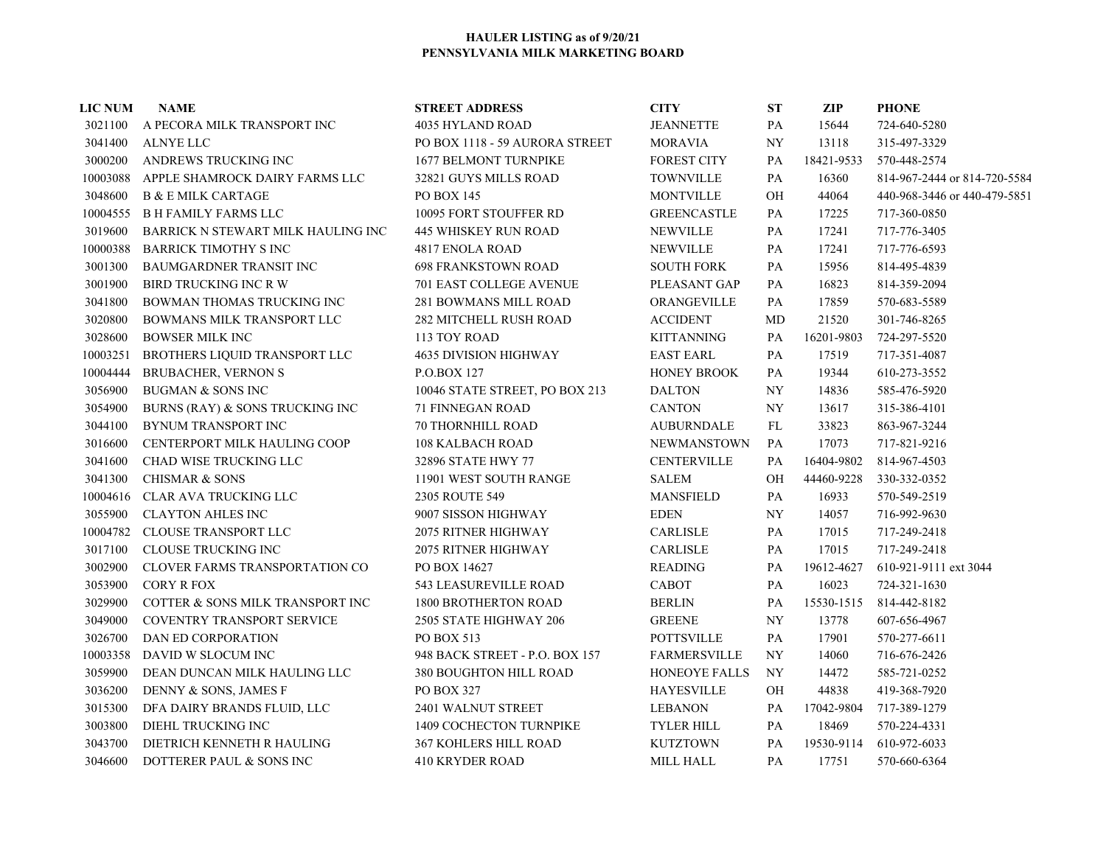| <b>LIC NUM</b> | <b>NAME</b>                        | <b>STREET ADDRESS</b>          | <b>CITY</b>         | ST        | <b>ZIP</b> | <b>PHONE</b>                 |
|----------------|------------------------------------|--------------------------------|---------------------|-----------|------------|------------------------------|
| 3021100        | A PECORA MILK TRANSPORT INC        | 4035 HYLAND ROAD               | <b>JEANNETTE</b>    | PA        | 15644      | 724-640-5280                 |
| 3041400        | ALNYE LLC                          | PO BOX 1118 - 59 AURORA STREET | <b>MORAVIA</b>      | <b>NY</b> | 13118      | 315-497-3329                 |
| 3000200        | ANDREWS TRUCKING INC               | <b>1677 BELMONT TURNPIKE</b>   | <b>FOREST CITY</b>  | PA        | 18421-9533 | 570-448-2574                 |
| 10003088       | APPLE SHAMROCK DAIRY FARMS LLC     | 32821 GUYS MILLS ROAD          | <b>TOWNVILLE</b>    | PA        | 16360      | 814-967-2444 or 814-720-5584 |
| 3048600        | <b>B &amp; E MILK CARTAGE</b>      | <b>PO BOX 145</b>              | <b>MONTVILLE</b>    | OН        | 44064      | 440-968-3446 or 440-479-5851 |
| 10004555       | <b>BH FAMILY FARMS LLC</b>         | 10095 FORT STOUFFER RD         | <b>GREENCASTLE</b>  | PA        | 17225      | 717-360-0850                 |
| 3019600        | BARRICK N STEWART MILK HAULING INC | <b>445 WHISKEY RUN ROAD</b>    | <b>NEWVILLE</b>     | PA        | 17241      | 717-776-3405                 |
| 10000388       | <b>BARRICK TIMOTHY S INC</b>       | 4817 ENOLA ROAD                | <b>NEWVILLE</b>     | PA        | 17241      | 717-776-6593                 |
| 3001300        | BAUMGARDNER TRANSIT INC            | <b>698 FRANKSTOWN ROAD</b>     | <b>SOUTH FORK</b>   | PA        | 15956      | 814-495-4839                 |
| 3001900        | BIRD TRUCKING INC R W              | <b>701 EAST COLLEGE AVENUE</b> | PLEASANT GAP        | PA        | 16823      | 814-359-2094                 |
| 3041800        | BOWMAN THOMAS TRUCKING INC         | 281 BOWMANS MILL ROAD          | ORANGEVILLE         | PA        | 17859      | 570-683-5589                 |
| 3020800        | BOWMANS MILK TRANSPORT LLC         | 282 MITCHELL RUSH ROAD         | <b>ACCIDENT</b>     | MD        | 21520      | 301-746-8265                 |
| 3028600        | <b>BOWSER MILK INC</b>             | 113 TOY ROAD                   | <b>KITTANNING</b>   | PA        | 16201-9803 | 724-297-5520                 |
| 10003251       | BROTHERS LIQUID TRANSPORT LLC      | 4635 DIVISION HIGHWAY          | <b>EAST EARL</b>    | PA        | 17519      | 717-351-4087                 |
| 10004444       | <b>BRUBACHER, VERNON S</b>         | P.O.BOX 127                    | HONEY BROOK         | PA        | 19344      | 610-273-3552                 |
| 3056900        | <b>BUGMAN &amp; SONS INC</b>       | 10046 STATE STREET, PO BOX 213 | <b>DALTON</b>       | <b>NY</b> | 14836      | 585-476-5920                 |
| 3054900        | BURNS (RAY) & SONS TRUCKING INC    | 71 FINNEGAN ROAD               | <b>CANTON</b>       | <b>NY</b> | 13617      | 315-386-4101                 |
| 3044100        | BYNUM TRANSPORT INC                | <b>70 THORNHILL ROAD</b>       | <b>AUBURNDALE</b>   | FL        | 33823      | 863-967-3244                 |
| 3016600        | CENTERPORT MILK HAULING COOP       | <b>108 KALBACH ROAD</b>        | <b>NEWMANSTOWN</b>  | PA        | 17073      | 717-821-9216                 |
| 3041600        | CHAD WISE TRUCKING LLC             | 32896 STATE HWY 77             | <b>CENTERVILLE</b>  | PA        | 16404-9802 | 814-967-4503                 |
| 3041300        | <b>CHISMAR &amp; SONS</b>          | 11901 WEST SOUTH RANGE         | <b>SALEM</b>        | OH        | 44460-9228 | 330-332-0352                 |
| 10004616       | CLAR AVA TRUCKING LLC              | 2305 ROUTE 549                 | <b>MANSFIELD</b>    | PA        | 16933      | 570-549-2519                 |
| 3055900        | <b>CLAYTON AHLES INC</b>           | 9007 SISSON HIGHWAY            | <b>EDEN</b>         | NY.       | 14057      | 716-992-9630                 |
| 10004782       | <b>CLOUSE TRANSPORT LLC</b>        | <b>2075 RITNER HIGHWAY</b>     | <b>CARLISLE</b>     | PA        | 17015      | 717-249-2418                 |
| 3017100        | <b>CLOUSE TRUCKING INC</b>         | <b>2075 RITNER HIGHWAY</b>     | <b>CARLISLE</b>     | PA        | 17015      | 717-249-2418                 |
| 3002900        | CLOVER FARMS TRANSPORTATION CO     | PO BOX 14627                   | READING             | PA        | 19612-4627 | 610-921-9111 ext 3044        |
| 3053900        | <b>CORY R FOX</b>                  | <b>543 LEASUREVILLE ROAD</b>   | CABOT               | PA        | 16023      | 724-321-1630                 |
| 3029900        | COTTER & SONS MILK TRANSPORT INC   | <b>1800 BROTHERTON ROAD</b>    | <b>BERLIN</b>       | PA        | 15530-1515 | 814-442-8182                 |
| 3049000        | <b>COVENTRY TRANSPORT SERVICE</b>  | 2505 STATE HIGHWAY 206         | <b>GREENE</b>       | <b>NY</b> | 13778      | 607-656-4967                 |
| 3026700        | DAN ED CORPORATION                 | PO BOX 513                     | <b>POTTSVILLE</b>   | PA        | 17901      | 570-277-6611                 |
| 10003358       | DAVID W SLOCUM INC                 | 948 BACK STREET - P.O. BOX 157 | <b>FARMERSVILLE</b> | NY        | 14060      | 716-676-2426                 |
| 3059900        | DEAN DUNCAN MILK HAULING LLC       | 380 BOUGHTON HILL ROAD         | HONEOYE FALLS       | NY.       | 14472      | 585-721-0252                 |
| 3036200        | DENNY & SONS, JAMES F              | PO BOX 327                     | <b>HAYESVILLE</b>   | OН        | 44838      | 419-368-7920                 |
| 3015300        | DFA DAIRY BRANDS FLUID, LLC        | 2401 WALNUT STREET             | <b>LEBANON</b>      | PA        | 17042-9804 | 717-389-1279                 |
| 3003800        | DIEHL TRUCKING INC                 | 1409 COCHECTON TURNPIKE        | <b>TYLER HILL</b>   | PA        | 18469      | 570-224-4331                 |
| 3043700        | DIETRICH KENNETH R HAULING         | <b>367 KOHLERS HILL ROAD</b>   | <b>KUTZTOWN</b>     | PA        | 19530-9114 | 610-972-6033                 |
| 3046600        | DOTTERER PAUL & SONS INC           | <b>410 KRYDER ROAD</b>         | <b>MILL HALL</b>    | PA        | 17751      | 570-660-6364                 |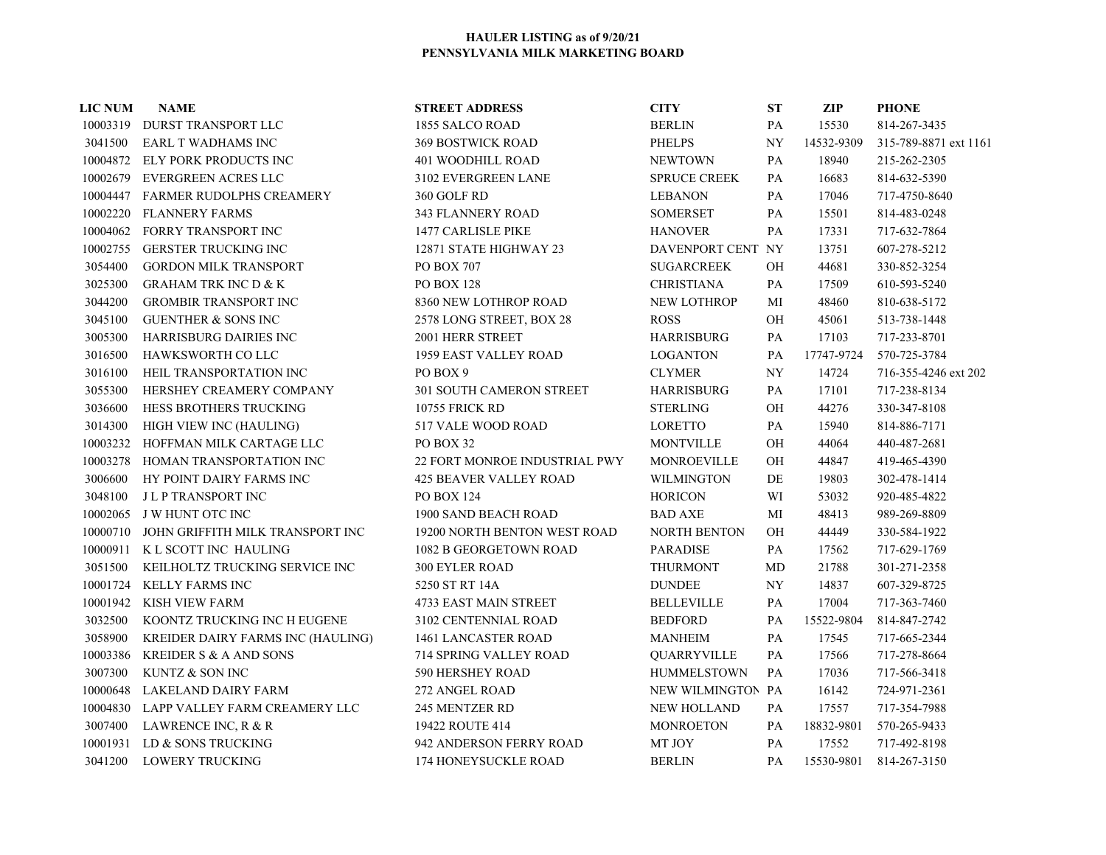| <b>LIC NUM</b> | <b>NAME</b>                            | <b>STREET ADDRESS</b>         | <b>CITY</b>         | <b>ST</b> | ZIP        | <b>PHONE</b>            |
|----------------|----------------------------------------|-------------------------------|---------------------|-----------|------------|-------------------------|
|                | 10003319 DURST TRANSPORT LLC           | 1855 SALCO ROAD               | <b>BERLIN</b>       | PA        | 15530      | 814-267-3435            |
| 3041500        | EARL T WADHAMS INC                     | <b>369 BOSTWICK ROAD</b>      | <b>PHELPS</b>       | NY        | 14532-9309 | 315-789-8871 ext 1161   |
|                | 10004872 ELY PORK PRODUCTS INC         | 401 WOODHILL ROAD             | <b>NEWTOWN</b>      | PA        | 18940      | 215-262-2305            |
|                | 10002679 EVERGREEN ACRES LLC           | 3102 EVERGREEN LANE           | <b>SPRUCE CREEK</b> | PA        | 16683      | 814-632-5390            |
|                | 10004447 FARMER RUDOLPHS CREAMERY      | 360 GOLF RD                   | <b>LEBANON</b>      | PA        | 17046      | 717-4750-8640           |
|                | 10002220 FLANNERY FARMS                | 343 FLANNERY ROAD             | <b>SOMERSET</b>     | PA        | 15501      | 814-483-0248            |
|                | 10004062 FORRY TRANSPORT INC           | <b>1477 CARLISLE PIKE</b>     | <b>HANOVER</b>      | PA        | 17331      | 717-632-7864            |
|                | 10002755 GERSTER TRUCKING INC          | 12871 STATE HIGHWAY 23        | DAVENPORT CENT NY   |           | 13751      | 607-278-5212            |
| 3054400        | <b>GORDON MILK TRANSPORT</b>           | PO BOX 707                    | <b>SUGARCREEK</b>   | OH        | 44681      | 330-852-3254            |
| 3025300        | <b>GRAHAM TRK INC D &amp; K</b>        | <b>PO BOX 128</b>             | <b>CHRISTIANA</b>   | PA        | 17509      | 610-593-5240            |
| 3044200        | <b>GROMBIR TRANSPORT INC</b>           | 8360 NEW LOTHROP ROAD         | <b>NEW LOTHROP</b>  | MI        | 48460      | 810-638-5172            |
| 3045100        | <b>GUENTHER &amp; SONS INC</b>         | 2578 LONG STREET, BOX 28      | <b>ROSS</b>         | OH        | 45061      | 513-738-1448            |
| 3005300        | HARRISBURG DAIRIES INC                 | 2001 HERR STREET              | <b>HARRISBURG</b>   | PA        | 17103      | 717-233-8701            |
| 3016500        | HAWKSWORTH CO LLC                      | 1959 EAST VALLEY ROAD         | <b>LOGANTON</b>     | PA        | 17747-9724 | 570-725-3784            |
| 3016100        | HEIL TRANSPORTATION INC                | PO BOX 9                      | <b>CLYMER</b>       | NY        | 14724      | 716-355-4246 ext 202    |
| 3055300        | HERSHEY CREAMERY COMPANY               | 301 SOUTH CAMERON STREET      | <b>HARRISBURG</b>   | PA        | 17101      | 717-238-8134            |
| 3036600        | HESS BROTHERS TRUCKING                 | 10755 FRICK RD                | <b>STERLING</b>     | OH        | 44276      | 330-347-8108            |
| 3014300        | HIGH VIEW INC (HAULING)                | 517 VALE WOOD ROAD            | LORETTO             | PA        | 15940      | 814-886-7171            |
|                | 10003232 HOFFMAN MILK CARTAGE LLC      | PO BOX 32                     | <b>MONTVILLE</b>    | OH        | 44064      | 440-487-2681            |
| 10003278       | HOMAN TRANSPORTATION INC               | 22 FORT MONROE INDUSTRIAL PWY | <b>MONROEVILLE</b>  | OH        | 44847      | 419-465-4390            |
| 3006600        | HY POINT DAIRY FARMS INC               | <b>425 BEAVER VALLEY ROAD</b> | <b>WILMINGTON</b>   | $\rm DE$  | 19803      | 302-478-1414            |
| 3048100        | <b>JLP TRANSPORT INC</b>               | <b>PO BOX 124</b>             | <b>HORICON</b>      | WI        | 53032      | 920-485-4822            |
|                | 10002065 J W HUNT OTC INC              | 1900 SAND BEACH ROAD          | <b>BAD AXE</b>      | MI        | 48413      | 989-269-8809            |
| 10000710       | JOHN GRIFFITH MILK TRANSPORT INC       | 19200 NORTH BENTON WEST ROAD  | <b>NORTH BENTON</b> | <b>OH</b> | 44449      | 330-584-1922            |
|                | 10000911 K L SCOTT INC HAULING         | 1082 B GEORGETOWN ROAD        | <b>PARADISE</b>     | PA        | 17562      | 717-629-1769            |
| 3051500        | KEILHOLTZ TRUCKING SERVICE INC         | <b>300 EYLER ROAD</b>         | <b>THURMONT</b>     | MD        | 21788      | 301-271-2358            |
|                | 10001724 KELLY FARMS INC               | 5250 ST RT 14A                | <b>DUNDEE</b>       | NY.       | 14837      | 607-329-8725            |
|                | 10001942 KISH VIEW FARM                | <b>4733 EAST MAIN STREET</b>  | <b>BELLEVILLE</b>   | PA        | 17004      | 717-363-7460            |
| 3032500        | KOONTZ TRUCKING INC H EUGENE           | 3102 CENTENNIAL ROAD          | <b>BEDFORD</b>      | PA        | 15522-9804 | 814-847-2742            |
| 3058900        | KREIDER DAIRY FARMS INC (HAULING)      | 1461 LANCASTER ROAD           | <b>MANHEIM</b>      | PA        | 17545      | 717-665-2344            |
| 10003386       | <b>KREIDER S &amp; A AND SONS</b>      | 714 SPRING VALLEY ROAD        | QUARRYVILLE         | PA        | 17566      | 717-278-8664            |
| 3007300        | KUNTZ & SON INC                        | 590 HERSHEY ROAD              | <b>HUMMELSTOWN</b>  | PA        | 17036      | 717-566-3418            |
| 10000648       | LAKELAND DAIRY FARM                    | 272 ANGEL ROAD                | NEW WILMINGTON PA   |           | 16142      | 724-971-2361            |
|                | 10004830 LAPP VALLEY FARM CREAMERY LLC | 245 MENTZER RD                | <b>NEW HOLLAND</b>  | PA        | 17557      | 717-354-7988            |
| 3007400        | LAWRENCE INC, R & R                    | 19422 ROUTE 414               | <b>MONROETON</b>    | PA        | 18832-9801 | 570-265-9433            |
|                | 10001931 LD & SONS TRUCKING            | 942 ANDERSON FERRY ROAD       | MT JOY              | PA        | 17552      | 717-492-8198            |
|                | 3041200 LOWERY TRUCKING                | 174 HONEYSUCKLE ROAD          | <b>BERLIN</b>       | PA –      |            | 15530-9801 814-267-3150 |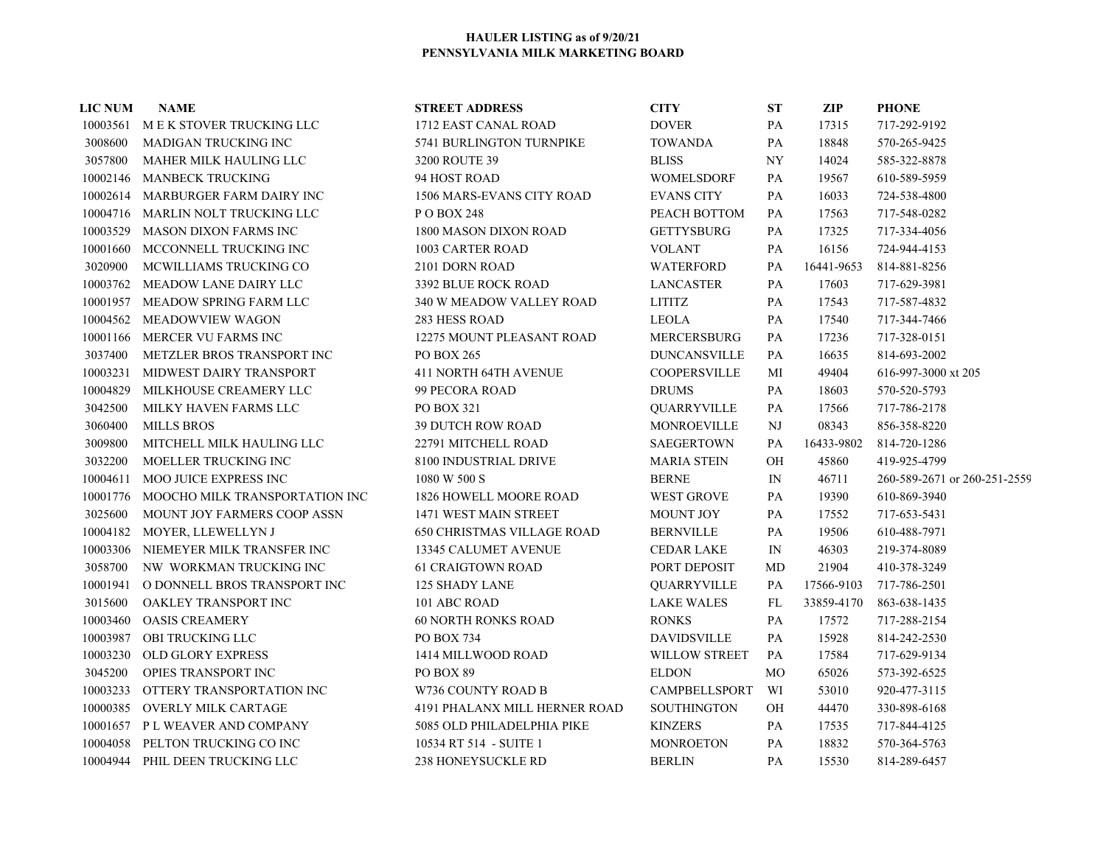| <b>LIC NUM</b> | <b>NAME</b>                       | <b>STREET ADDRESS</b>             | <b>CITY</b>          | <b>ST</b>                | ZIP        | <b>PHONE</b>                 |
|----------------|-----------------------------------|-----------------------------------|----------------------|--------------------------|------------|------------------------------|
|                | 10003561 MEK STOVER TRUCKING LLC  | 1712 EAST CANAL ROAD              | <b>DOVER</b>         | PA                       | 17315      | 717-292-9192                 |
| 3008600        | MADIGAN TRUCKING INC              | 5741 BURLINGTON TURNPIKE          | <b>TOWANDA</b>       | PA                       | 18848      | 570-265-9425                 |
| 3057800        | MAHER MILK HAULING LLC            | 3200 ROUTE 39                     | <b>BLISS</b>         | $\ensuremath{\text{NY}}$ | 14024      | 585-322-8878                 |
| 10002146       | <b>MANBECK TRUCKING</b>           | 94 HOST ROAD                      | <b>WOMELSDORF</b>    | PA                       | 19567      | 610-589-5959                 |
|                | 10002614 MARBURGER FARM DAIRY INC | 1506 MARS-EVANS CITY ROAD         | <b>EVANS CITY</b>    | PA                       | 16033      | 724-538-4800                 |
|                | 10004716 MARLIN NOLT TRUCKING LLC | P O BOX 248                       | PEACH BOTTOM         | PA                       | 17563      | 717-548-0282                 |
| 10003529       | <b>MASON DIXON FARMS INC</b>      | 1800 MASON DIXON ROAD             | <b>GETTYSBURG</b>    | PA                       | 17325      | 717-334-4056                 |
| 10001660       | MCCONNELL TRUCKING INC            | 1003 CARTER ROAD                  | <b>VOLANT</b>        | PA                       | 16156      | 724-944-4153                 |
| 3020900        | MCWILLIAMS TRUCKING CO            | 2101 DORN ROAD                    | <b>WATERFORD</b>     | PA                       | 16441-9653 | 814-881-8256                 |
|                | 10003762 MEADOW LANE DAIRY LLC    | 3392 BLUE ROCK ROAD               | <b>LANCASTER</b>     | PA                       | 17603      | 717-629-3981                 |
|                | 10001957 MEADOW SPRING FARM LLC   | 340 W MEADOW VALLEY ROAD          | <b>LITITZ</b>        | PA                       | 17543      | 717-587-4832                 |
| 10004562       | MEADOWVIEW WAGON                  | 283 HESS ROAD                     | <b>LEOLA</b>         | PA                       | 17540      | 717-344-7466                 |
|                | 10001166 MERCER VU FARMS INC      | 12275 MOUNT PLEASANT ROAD         | <b>MERCERSBURG</b>   | PA                       | 17236      | 717-328-0151                 |
| 3037400        | METZLER BROS TRANSPORT INC        | PO BOX 265                        | <b>DUNCANSVILLE</b>  | PA                       | 16635      | 814-693-2002                 |
| 10003231       | MIDWEST DAIRY TRANSPORT           | <b>411 NORTH 64TH AVENUE</b>      | <b>COOPERSVILLE</b>  | МI                       | 49404      | 616-997-3000 xt 205          |
| 10004829       | MILKHOUSE CREAMERY LLC            | 99 PECORA ROAD                    | <b>DRUMS</b>         | PA                       | 18603      | 570-520-5793                 |
| 3042500        | MILKY HAVEN FARMS LLC             | PO BOX 321                        | QUARRYVILLE          | PA                       | 17566      | 717-786-2178                 |
| 3060400        | <b>MILLS BROS</b>                 | <b>39 DUTCH ROW ROAD</b>          | MONROEVILLE          | NJ                       | 08343      | 856-358-8220                 |
| 3009800        | MITCHELL MILK HAULING LLC         | 22791 MITCHELL ROAD               | <b>SAEGERTOWN</b>    | PA                       | 16433-9802 | 814-720-1286                 |
| 3032200        | MOELLER TRUCKING INC              | 8100 INDUSTRIAL DRIVE             | <b>MARIA STEIN</b>   | OH                       | 45860      | 419-925-4799                 |
| 10004611       | MOO JUICE EXPRESS INC             | 1080 W 500 S                      | <b>BERNE</b>         | $\ensuremath{\text{IN}}$ | 46711      | 260-589-2671 or 260-251-2559 |
| 10001776       | MOOCHO MILK TRANSPORTATION INC    | 1826 HOWELL MOORE ROAD            | <b>WEST GROVE</b>    | PA                       | 19390      | 610-869-3940                 |
| 3025600        | MOUNT JOY FARMERS COOP ASSN       | 1471 WEST MAIN STREET             | <b>MOUNT JOY</b>     | PA                       | 17552      | 717-653-5431                 |
| 10004182       | MOYER, LLEWELLYN J                | <b>650 CHRISTMAS VILLAGE ROAD</b> | <b>BERNVILLE</b>     | PA                       | 19506      | 610-488-7971                 |
| 10003306       | NIEMEYER MILK TRANSFER INC        | 13345 CALUMET AVENUE              | <b>CEDAR LAKE</b>    | $\mathbb{N}$             | 46303      | 219-374-8089                 |
| 3058700        | NW WORKMAN TRUCKING INC           | <b>61 CRAIGTOWN ROAD</b>          | PORT DEPOSIT         | MD                       | 21904      | 410-378-3249                 |
| 10001941       | O DONNELL BROS TRANSPORT INC      | 125 SHADY LANE                    | QUARRYVILLE          | PA                       | 17566-9103 | 717-786-2501                 |
| 3015600        | OAKLEY TRANSPORT INC              | 101 ABC ROAD                      | <b>LAKE WALES</b>    | FL                       | 33859-4170 | 863-638-1435                 |
| 10003460       | <b>OASIS CREAMERY</b>             | <b>60 NORTH RONKS ROAD</b>        | <b>RONKS</b>         | PA                       | 17572      | 717-288-2154                 |
| 10003987       | <b>OBI TRUCKING LLC</b>           | <b>PO BOX 734</b>                 | <b>DAVIDSVILLE</b>   | PA                       | 15928      | 814-242-2530                 |
| 10003230       | <b>OLD GLORY EXPRESS</b>          | 1414 MILLWOOD ROAD                | <b>WILLOW STREET</b> | PA                       | 17584      | 717-629-9134                 |
| 3045200        | OPIES TRANSPORT INC               | PO BOX 89                         | <b>ELDON</b>         | MO                       | 65026      | 573-392-6525                 |
| 10003233       | OTTERY TRANSPORTATION INC         | W736 COUNTY ROAD B                | <b>CAMPBELLSPORT</b> | WI                       | 53010      | 920-477-3115                 |
| 10000385       | OVERLY MILK CARTAGE               | 4191 PHALANX MILL HERNER ROAD     | <b>SOUTHINGTON</b>   | OН                       | 44470      | 330-898-6168                 |
|                | 10001657 PL WEAVER AND COMPANY    | 5085 OLD PHILADELPHIA PIKE        | <b>KINZERS</b>       | PA                       | 17535      | 717-844-4125                 |
|                | 10004058 PELTON TRUCKING CO INC   | 10534 RT 514 - SUITE 1            | <b>MONROETON</b>     | PA                       | 18832      | 570-364-5763                 |
|                | 10004944 PHIL DEEN TRUCKING LLC   | 238 HONEYSUCKLE RD                | <b>BERLIN</b>        | <b>PA</b>                | 15530      | 814-289-6457                 |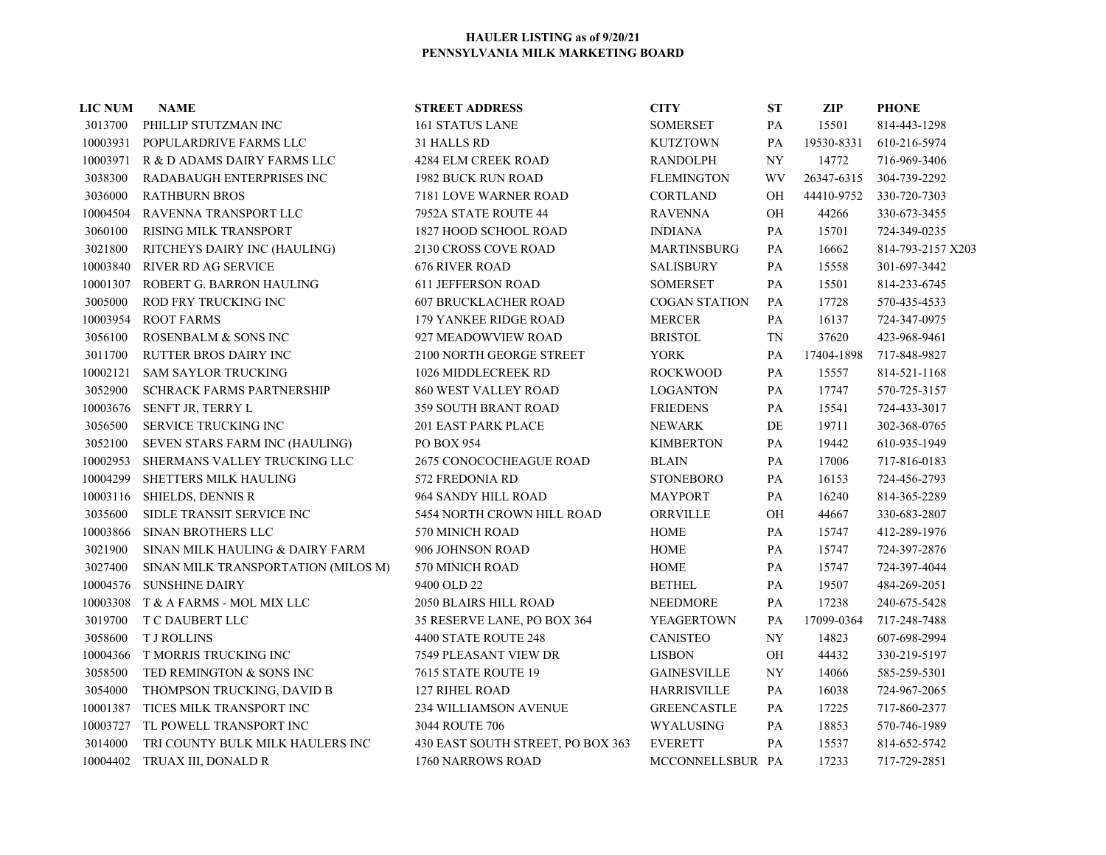| <b>LIC NUM</b> | <b>NAME</b>                          | <b>STREET ADDRESS</b>             | <b>CITY</b>          | $\mathbf{S}\mathbf{T}$ | <b>ZIP</b> | <b>PHONE</b>      |
|----------------|--------------------------------------|-----------------------------------|----------------------|------------------------|------------|-------------------|
|                | 3013700 PHILLIP STUTZMAN INC         | <b>161 STATUS LANE</b>            | <b>SOMERSET</b>      | PA                     | 15501      | 814-443-1298      |
|                | 10003931 POPULARDRIVE FARMS LLC      | 31 HALLS RD                       | <b>KUTZTOWN</b>      | PA                     | 19530-8331 | 610-216-5974      |
|                | 10003971 R & D ADAMS DAIRY FARMS LLC | 4284 ELM CREEK ROAD               | <b>RANDOLPH</b>      | NY                     | 14772      | 716-969-3406      |
| 3038300        | RADABAUGH ENTERPRISES INC            | 1982 BUCK RUN ROAD                | <b>FLEMINGTON</b>    | WV                     | 26347-6315 | 304-739-2292      |
| 3036000        | <b>RATHBURN BROS</b>                 | 7181 LOVE WARNER ROAD             | <b>CORTLAND</b>      | OH                     | 44410-9752 | 330-720-7303      |
| 10004504       | RAVENNA TRANSPORT LLC                | 7952A STATE ROUTE 44              | <b>RAVENNA</b>       | OH                     | 44266      | 330-673-3455      |
| 3060100        | <b>RISING MILK TRANSPORT</b>         | 1827 HOOD SCHOOL ROAD             | <b>INDIANA</b>       | PA                     | 15701      | 724-349-0235      |
| 3021800        | RITCHEYS DAIRY INC (HAULING)         | 2130 CROSS COVE ROAD              | <b>MARTINSBURG</b>   | PA                     | 16662      | 814-793-2157 X203 |
| 10003840       | <b>RIVER RD AG SERVICE</b>           | <b>676 RIVER ROAD</b>             | <b>SALISBURY</b>     | PA                     | 15558      | 301-697-3442      |
| 10001307       | ROBERT G. BARRON HAULING             | <b>611 JEFFERSON ROAD</b>         | <b>SOMERSET</b>      | PA                     | 15501      | 814-233-6745      |
| 3005000        | ROD FRY TRUCKING INC                 | <b>607 BRUCKLACHER ROAD</b>       | <b>COGAN STATION</b> | PA                     | 17728      | 570-435-4533      |
| 10003954       | <b>ROOT FARMS</b>                    | 179 YANKEE RIDGE ROAD             | <b>MERCER</b>        | PA                     | 16137      | 724-347-0975      |
| 3056100        | ROSENBALM & SONS INC                 | 927 MEADOWVIEW ROAD               | <b>BRISTOL</b>       | <b>TN</b>              | 37620      | 423-968-9461      |
| 3011700        | <b>RUTTER BROS DAIRY INC</b>         | 2100 NORTH GEORGE STREET          | <b>YORK</b>          | PA                     | 17404-1898 | 717-848-9827      |
| 10002121       | <b>SAM SAYLOR TRUCKING</b>           | 1026 MIDDLECREEK RD               | <b>ROCKWOOD</b>      | PA                     | 15557      | 814-521-1168      |
| 3052900        | <b>SCHRACK FARMS PARTNERSHIP</b>     | <b>860 WEST VALLEY ROAD</b>       | <b>LOGANTON</b>      | PA                     | 17747      | 570-725-3157      |
| 10003676       | SENFT JR, TERRY L                    | <b>359 SOUTH BRANT ROAD</b>       | <b>FRIEDENS</b>      | PA                     | 15541      | 724-433-3017      |
| 3056500        | SERVICE TRUCKING INC                 | <b>201 EAST PARK PLACE</b>        | <b>NEWARK</b>        | $\rm DE$               | 19711      | 302-368-0765      |
| 3052100        | SEVEN STARS FARM INC (HAULING)       | <b>PO BOX 954</b>                 | <b>KIMBERTON</b>     | PA                     | 19442      | 610-935-1949      |
| 10002953       | SHERMANS VALLEY TRUCKING LLC         | <b>2675 CONOCOCHEAGUE ROAD</b>    | <b>BLAIN</b>         | PA                     | 17006      | 717-816-0183      |
| 10004299       | SHETTERS MILK HAULING                | 572 FREDONIA RD                   | <b>STONEBORO</b>     | PA                     | 16153      | 724-456-2793      |
| 10003116       | SHIELDS, DENNIS R                    | 964 SANDY HILL ROAD               | <b>MAYPORT</b>       | PA                     | 16240      | 814-365-2289      |
| 3035600        | SIDLE TRANSIT SERVICE INC            | 5454 NORTH CROWN HILL ROAD        | ORRVILLE             | OH                     | 44667      | 330-683-2807      |
| 10003866       | SINAN BROTHERS LLC                   | 570 MINICH ROAD                   | <b>HOME</b>          | PA                     | 15747      | 412-289-1976      |
| 3021900        | SINAN MILK HAULING & DAIRY FARM      | 906 JOHNSON ROAD                  | <b>HOME</b>          | PA                     | 15747      | 724-397-2876      |
| 3027400        | SINAN MILK TRANSPORTATION (MILOS M)  | 570 MINICH ROAD                   | <b>HOME</b>          | PA                     | 15747      | 724-397-4044      |
| 10004576       | <b>SUNSHINE DAIRY</b>                | 9400 OLD 22                       | <b>BETHEL</b>        | PA                     | 19507      | 484-269-2051      |
| 10003308       | T & A FARMS - MOL MIX LLC            | <b>2050 BLAIRS HILL ROAD</b>      | <b>NEEDMORE</b>      | PA                     | 17238      | 240-675-5428      |
| 3019700        | <b>T C DAUBERT LLC</b>               | 35 RESERVE LANE, PO BOX 364       | <b>YEAGERTOWN</b>    | PA                     | 17099-0364 | 717-248-7488      |
| 3058600        | <b>T J ROLLINS</b>                   | 4400 STATE ROUTE 248              | <b>CANISTEO</b>      | NY                     | 14823      | 607-698-2994      |
| 10004366       | T MORRIS TRUCKING INC                | 7549 PLEASANT VIEW DR             | <b>LISBON</b>        | OH                     | 44432      | 330-219-5197      |
| 3058500        | TED REMINGTON & SONS INC             | 7615 STATE ROUTE 19               | <b>GAINESVILLE</b>   | NY                     | 14066      | 585-259-5301      |
| 3054000        | THOMPSON TRUCKING, DAVID B           | <b>127 RIHEL ROAD</b>             | <b>HARRISVILLE</b>   | PA                     | 16038      | 724-967-2065      |
| 10001387       | TICES MILK TRANSPORT INC             | <b>234 WILLIAMSON AVENUE</b>      | <b>GREENCASTLE</b>   | PA                     | 17225      | 717-860-2377      |
| 10003727       | TL POWELL TRANSPORT INC              | 3044 ROUTE 706                    | WYALUSING            | PA                     | 18853      | 570-746-1989      |
| 3014000        | TRI COUNTY BULK MILK HAULERS INC     | 430 EAST SOUTH STREET, PO BOX 363 | <b>EVERETT</b>       | PA                     | 15537      | 814-652-5742      |
|                | 10004402 TRUAX III, DONALD R         | 1760 NARROWS ROAD                 | MCCONNELLSBUR PA     |                        | 17233      | 717-729-2851      |